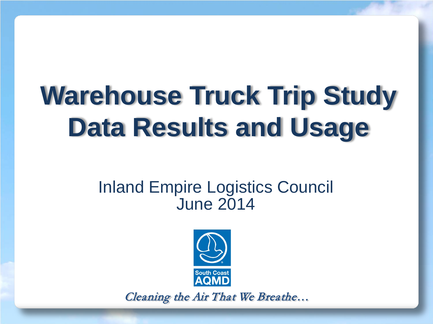# **Warehouse Truck Trip Study Data Results and Usage**

#### Inland Empire Logistics Council June 2014



Cleaning the Air That We Breathe…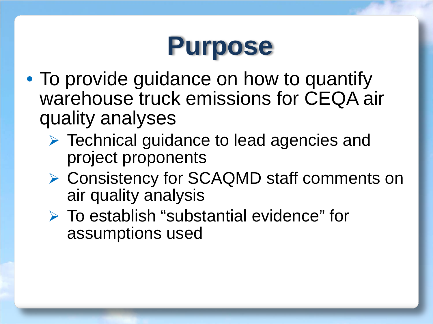# **Purpose**

- To provide guidance on how to quantify warehouse truck emissions for CEQA air quality analyses
	- ▶ Technical guidance to lead agencies and project proponents
	- ▶ Consistency for SCAQMD staff comments on air quality analysis
	- $\triangleright$  To establish "substantial evidence" for assumptions used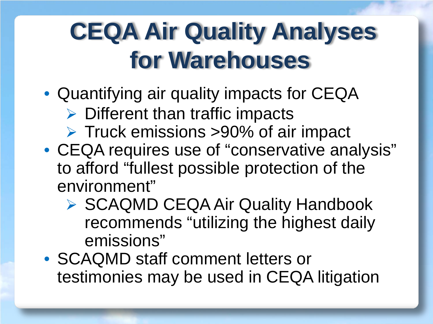### **CEQA Air Quality Analyses for Warehouses**

- Quantifying air quality impacts for CEQA
	- $\triangleright$  Different than traffic impacts
	- Truck emissions >90% of air impact
- CEQA requires use of "conservative analysis" to afford "fullest possible protection of the environment"
	- ▶ SCAQMD CEQA Air Quality Handbook recommends "utilizing the highest daily emissions"
- SCAQMD staff comment letters or testimonies may be used in CEQA litigation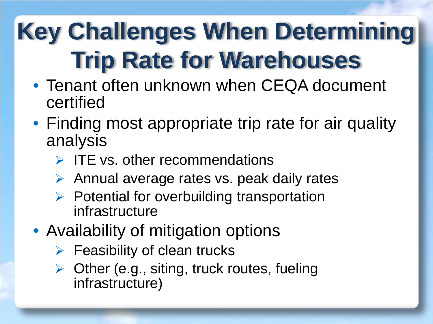# **Key Challenges When Determining Trip Rate for Warehouses**

- Tenant often unknown when CEQA document certified
- Finding most appropriate trip rate for air quality analysis
	- $\triangleright$  ITE vs. other recommendations
	- $\triangleright$  Annual average rates vs. peak daily rates
	- $\triangleright$  Potential for overbuilding transportation infrastructure
- Availability of mitigation options
	- $\triangleright$  Feasibility of clean trucks
	- $\triangleright$  Other (e.g., siting, truck routes, fueling infrastructure)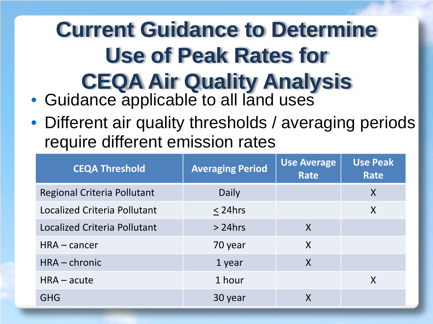#### **Current Guidance to Determine Use of Peak Rates for CEQA Air Quality Analysis**

- Guidance applicable to all land uses
- Different air quality thresholds / averaging periods require different emission rates

| <b>CEQA Threshold</b>               | <b>Averaging Period</b> | <b>Use Average</b><br><b>Rate</b> | <b>Use Peak</b><br>Rate |
|-------------------------------------|-------------------------|-----------------------------------|-------------------------|
| <b>Regional Criteria Pollutant</b>  | Daily                   |                                   | X                       |
| <b>Localized Criteria Pollutant</b> | $<$ 24hrs               |                                   | X                       |
| <b>Localized Criteria Pollutant</b> | $>$ 24hrs               | $\boldsymbol{X}$                  |                         |
| $HRA - cancer$                      | 70 year                 | $\boldsymbol{\mathsf{X}}$         |                         |
| $HRA$ – chronic                     | 1 year                  | $\boldsymbol{\mathsf{X}}$         |                         |
| $HRA - acute$                       | 1 hour                  |                                   | X                       |
| <b>GHG</b>                          | 30 year                 | $\boldsymbol{\mathsf{X}}$         |                         |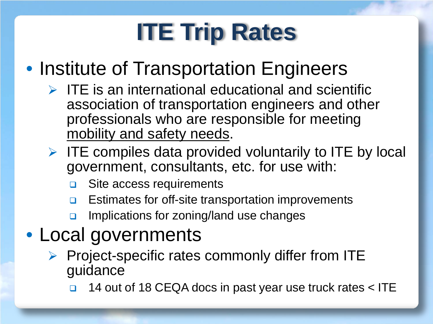# **ITE Trip Rates**

#### • Institute of Transportation Engineers

- $\triangleright$  ITE is an international educational and scientific association of transportation engineers and other professionals who are responsible for meeting mobility and safety needs.
- $\triangleright$  ITE compiles data provided voluntarily to ITE by local government, consultants, etc. for use with:
	- $\Box$  Site access requirements
	- □ Estimates for off-site transportation improvements
	- $\Box$  Implications for zoning/land use changes
- Local governments
	- $\triangleright$  Project-specific rates commonly differ from ITE guidance

□ 14 out of 18 CEQA docs in past year use truck rates < ITE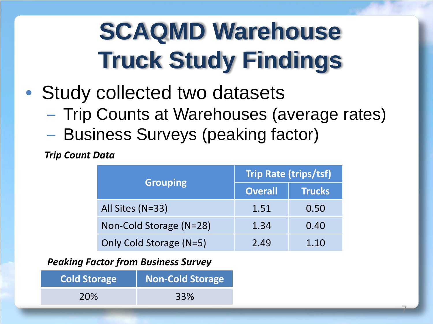# **SCAQMD Warehouse Truck Study Findings**

- Study collected two datasets
	- Trip Counts at Warehouses (average rates)
	- Business Surveys (peaking factor)

*Trip Count Data*

|                         | <b>Trip Rate (trips/tsf)</b> |               |  |
|-------------------------|------------------------------|---------------|--|
| <b>Grouping</b>         | <b>Overall</b>               | <b>Trucks</b> |  |
| All Sites (N=33)        | 1.51                         | 0.50          |  |
| Non-Cold Storage (N=28) | 1.34                         | 0.40          |  |
| Only Cold Storage (N=5) | 2.49                         | 1.10          |  |

7

#### *Peaking Factor from Business Survey*

| <b>Cold Storage</b> | Non-Cold Storage |
|---------------------|------------------|
| 20%                 | 33%              |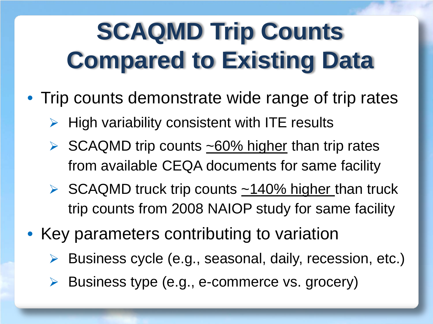# **SCAQMD Trip Counts Compared to Existing Data**

- Trip counts demonstrate wide range of trip rates
	- $\triangleright$  High variability consistent with ITE results
	- $\triangleright$  SCAQMD trip counts  $\sim$  60% higher than trip rates from available CEQA documents for same facility
	- $\triangleright$  SCAQMD truck trip counts  $\sim$ 140% higher than truck trip counts from 2008 NAIOP study for same facility
- Key parameters contributing to variation
	- Business cycle (e.g., seasonal, daily, recession, etc.)
	- Business type (e.g., e-commerce vs. grocery)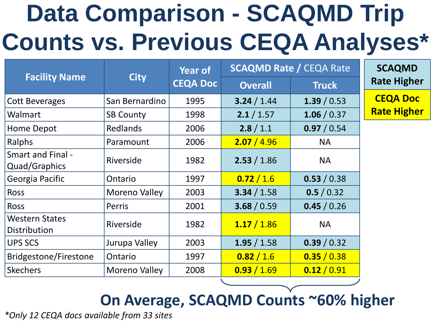### **Data Comparison - SCAQMD Trip Counts vs. Previous CEQA Analyses\***

|                                           |                  | Year of         |                | <b>SCAQMD Rate / CEQA Rate</b> | <b>SCAQMD</b>      |
|-------------------------------------------|------------------|-----------------|----------------|--------------------------------|--------------------|
| <b>Facility Name</b>                      | <b>City</b>      | <b>CEQA Doc</b> | <b>Overall</b> | <b>Truck</b>                   | <b>Rate Higher</b> |
| <b>Cott Beverages</b>                     | San Bernardino   | 1995            | 3.24 / 1.44    | 1.39/0.53                      | <b>CEQA Doc</b>    |
| Walmart                                   | <b>SB County</b> | 1998            | 2.1 / 1.57     | 1.06 / 0.37                    | <b>Rate Higher</b> |
| Home Depot                                | Redlands         | 2006            | 2.8 / 1.1      | 0.97 / 0.54                    |                    |
| Ralphs                                    | Paramount        | 2006            | 2.07 / 4.96    | <b>NA</b>                      |                    |
| <b>Smart and Final -</b><br>Quad/Graphics | Riverside        | 1982            | 2.53 / 1.86    | <b>NA</b>                      |                    |
| Georgia Pacific                           | Ontario          | 1997            | 0.72 / 1.6     | 0.53 / 0.38                    |                    |
| <b>Ross</b>                               | Moreno Valley    | 2003            | 3.34 / 1.58    | 0.5 / 0.32                     |                    |
| Ross                                      | Perris           | 2001            | 3.68 / 0.59    | 0.45 / 0.26                    |                    |
| <b>Western States</b><br>Distribution     | Riverside        | 1982            | 1.17 / 1.86    | <b>NA</b>                      |                    |
| <b>UPS SCS</b>                            | Jurupa Valley    | 2003            | 1.95 / 1.58    | 0.39 / 0.32                    |                    |
| Bridgestone/Firestone                     | Ontario          | 1997            | 0.82 / 1.6     | 0.35 / 0.38                    |                    |
| <b>Skechers</b>                           | Moreno Valley    | 2008            | 0.93 / 1.69    | 0.12 / 0.91                    |                    |

#### **On Average, SCAQMD Counts ~60% higher**

*\*Only 12 CEQA docs available from 33 sites*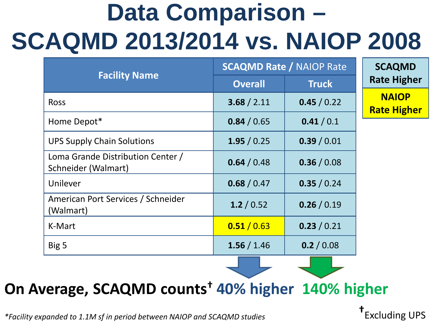### **Data Comparison – SCAQMD 2013/2014 vs. NAIOP 2008**

|                                                          | <b>SCAQMD Rate / NAIOP Rate</b> | <b>SCAQMD</b> |                                    |
|----------------------------------------------------------|---------------------------------|---------------|------------------------------------|
| <b>Facility Name</b>                                     | <b>Overall</b>                  | <b>Truck</b>  | <b>Rate Higher</b>                 |
| <b>Ross</b>                                              | 3.68 / 2.11                     | 0.45 / 0.22   | <b>NAIOP</b><br><b>Rate Higher</b> |
| Home Depot*                                              | 0.84 / 0.65                     | 0.41/0.1      |                                    |
| <b>UPS Supply Chain Solutions</b>                        | 1.95/0.25                       | 0.39/0.01     |                                    |
| Loma Grande Distribution Center /<br>Schneider (Walmart) | 0.64 / 0.48                     | 0.36 / 0.08   |                                    |
| Unilever                                                 | 0.68 / 0.47                     | 0.35 / 0.24   |                                    |
| American Port Services / Schneider<br>(Walmart)          | 1.2 / 0.52                      | 0.26 / 0.19   |                                    |
| K-Mart                                                   | 0.51/0.63                       | 0.23 / 0.21   |                                    |
| Big 5                                                    | 1.56 / 1.46                     | 0.2 / 0.08    |                                    |
|                                                          |                                 |               |                                    |

**†**Excluding UPS

#### **On Average, SCAQMD counts† 40% higher 140% higher**

*\*Facility expanded to 1.1M sf in period between NAIOP and SCAQMD studies*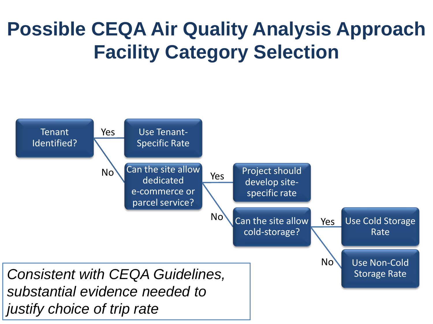#### **Possible CEQA Air Quality Analysis Approach Facility Category Selection**

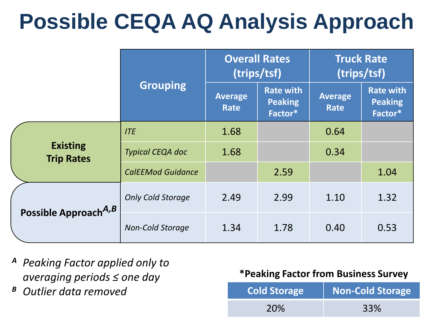#### **Possible CEQA AQ Analysis Approach**

|                                      |                          | <b>Overall Rates</b><br>$(\mathsf{trips}/\mathsf{tsf})$ |                                               | <b>Truck Rate</b><br>(trips/tsf) |                                               |
|--------------------------------------|--------------------------|---------------------------------------------------------|-----------------------------------------------|----------------------------------|-----------------------------------------------|
|                                      | <b>Grouping</b>          | <b>Average</b><br>Rate                                  | <b>Rate with</b><br><b>Peaking</b><br>Factor* | <b>Average</b><br>Rate           | <b>Rate with</b><br><b>Peaking</b><br>Factor* |
|                                      | <b>ITE</b>               | 1.68                                                    |                                               | 0.64                             |                                               |
| <b>Existing</b><br><b>Trip Rates</b> | <b>Typical CEQA doc</b>  | 1.68                                                    |                                               | 0.34                             |                                               |
|                                      | <b>CalEEMod Guidance</b> |                                                         | 2.59                                          |                                  | 1.04                                          |
| Possible Approach <sup>A,B</sup>     | <b>Only Cold Storage</b> | 2.49                                                    | 2.99                                          | 1.10                             | 1.32                                          |
|                                      | <b>Non-Cold Storage</b>  | 1.34                                                    | 1.78                                          | 0.40                             | 0.53                                          |

- *<sup>A</sup> Peaking Factor applied only to averaging periods ≤ one day*
- *<sup>B</sup> Outlier data removed*

#### **\*Peaking Factor from Business Survey**

| <b>Cold Storage</b> | <b>Non-Cold Storage</b> |
|---------------------|-------------------------|
| <b>20%</b>          | 33%                     |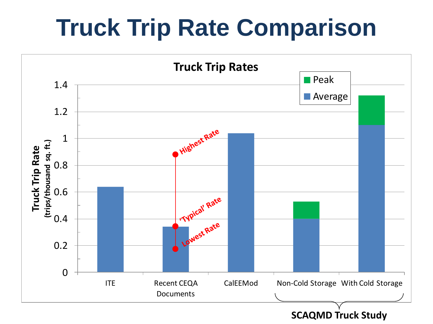### **Truck Trip Rate Comparison**

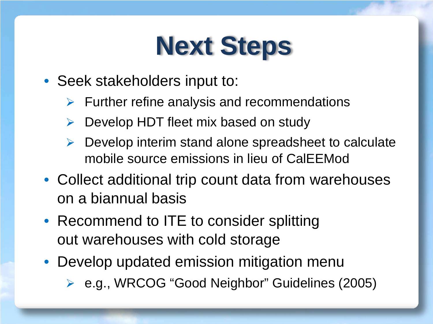# **Next Steps**

- Seek stakeholders input to:
	- $\triangleright$  Further refine analysis and recommendations
	- $\triangleright$  Develop HDT fleet mix based on study
	- $\triangleright$  Develop interim stand alone spreadsheet to calculate mobile source emissions in lieu of CalEEMod
- Collect additional trip count data from warehouses on a biannual basis
- Recommend to ITE to consider splitting out warehouses with cold storage
- Develop updated emission mitigation menu
	- e.g., WRCOG "Good Neighbor" Guidelines (2005)